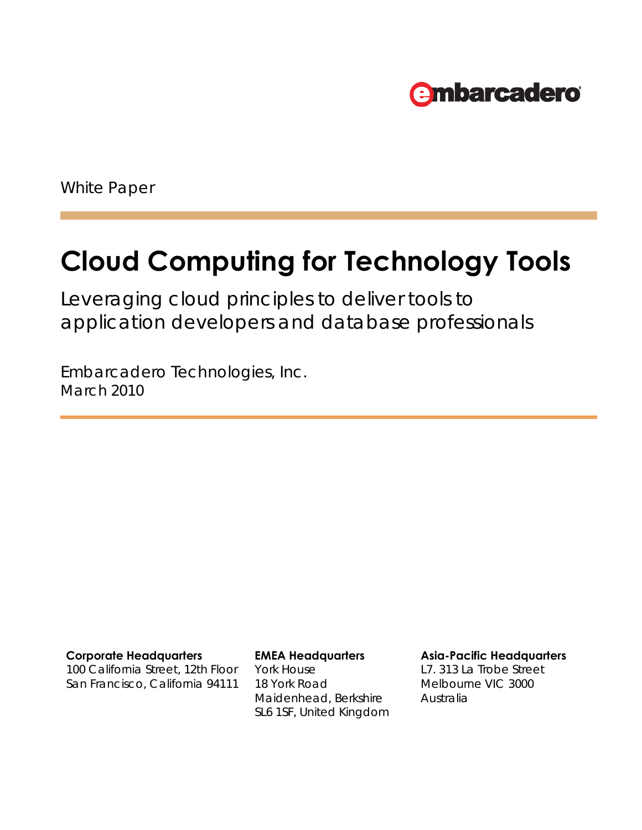

White Paper

# **Cloud Computing for Technology Tools**

Leveraging cloud principles to deliver tools to application developers and database professionals

Embarcadero Technologies, Inc. March 2010

100 California Street, 12th Floor San Francisco, California 94111 York House 18 York Road Maidenhead, Berkshire SL6 1SF, United Kingdom

**Corporate Headquarters EMEA Headquarters Asia-Pacific Headquarters**

L7. 313 La Trobe Street Melbourne VIC 3000 Australia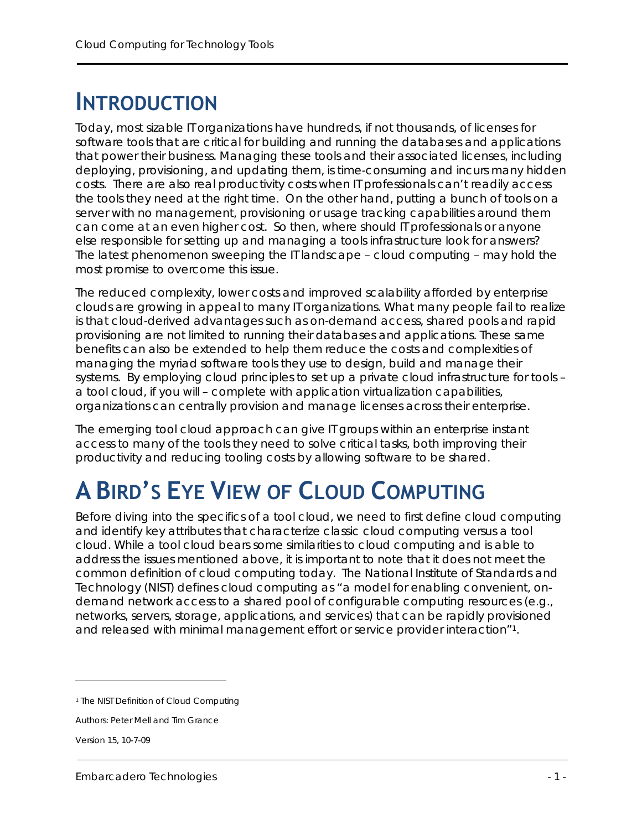### **INTRODUCTION**

Today, most sizable IT organizations have hundreds, if not thousands, of licenses for software tools that are critical for building and running the databases and applications that power their business. Managing these tools and their associated licenses, including deploying, provisioning, and updating them, is time-consuming and incurs many hidden costs. There are also real productivity costs when IT professionals can't readily access the tools they need at the right time. On the other hand, putting a bunch of tools on a server with no management, provisioning or usage tracking capabilities around them can come at an even higher cost. So then, where should IT professionals or anyone else responsible for setting up and managing a tools infrastructure look for answers? The latest phenomenon sweeping the IT landscape – cloud computing – may hold the most promise to overcome this issue.

The reduced complexity, lower costs and improved scalability afforded by enterprise clouds are growing in appeal to many IT organizations. What many people fail to realize is that cloud-derived advantages such as on-demand access, shared pools and rapid provisioning are not limited to running their databases and applications. These same benefits can also be extended to help them reduce the costs and complexities of managing the myriad software tools they use to design, build and manage their systems. By employing cloud principles to set up a private cloud infrastructure for tools – a tool cloud, if you will – complete with application virtualization capabilities, organizations can centrally provision and manage licenses across their enterprise.

The emerging tool cloud approach can give IT groups within an enterprise instant access to many of the tools they need to solve critical tasks, both improving their productivity and reducing tooling costs by allowing software to be shared.

### **A BIRD'S EYE VIEW OF CLOUD COMPUTING**

Before diving into the specifics of a tool cloud, we need to first define cloud computing and identify key attributes that characterize classic cloud computing versus a tool cloud. While a tool cloud bears some similarities to cloud computing and is able to address the issues mentioned above, it is important to note that it does not meet the common definition of cloud computing today. The National Institute of Standards and Technology (NIST) defines cloud computing as "a model for enabling convenient, ondemand network access to a shared pool of configurable computing resources (e.g., networks, servers, storage, applications, and services) that can be rapidly provisioned and released with minimal management effort or service provider interaction"1.

 $\overline{a}$ 

<sup>1</sup> The NIST Definition of Cloud Computing

Authors: Peter Mell and Tim Grance

Version 15, 10-7-09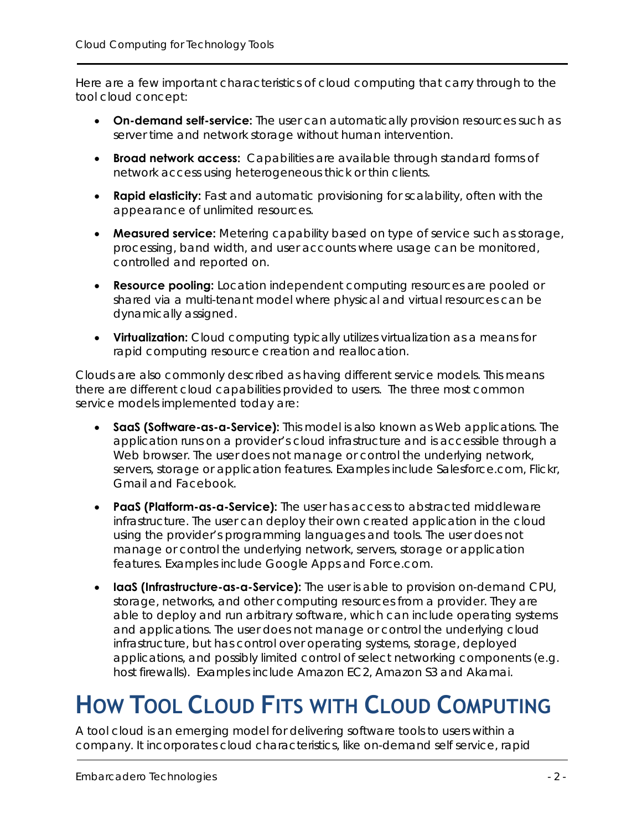Here are a few important characteristics of cloud computing that carry through to the tool cloud concept:

- **On-demand self-service:** The user can automatically provision resources such as server time and network storage without human intervention.
- **Broad network access:** Capabilities are available through standard forms of network access using heterogeneous thick or thin clients.
- **Rapid elasticity:** Fast and automatic provisioning for scalability, often with the appearance of unlimited resources.
- **Measured service:** Metering capability based on type of service such as storage, processing, band width, and user accounts where usage can be monitored, controlled and reported on.
- **Resource pooling:** Location independent computing resources are pooled or shared via a multi-tenant model where physical and virtual resources can be dynamically assigned.
- **Virtualization:** Cloud computing typically utilizes virtualization as a means for rapid computing resource creation and reallocation.

Clouds are also commonly described as having different service models. This means there are different cloud capabilities provided to users. The three most common service models implemented today are:

- **SaaS (Software-as-a-Service):** This model is also known as Web applications. The application runs on a provider's cloud infrastructure and is accessible through a Web browser. The user does not manage or control the underlying network, servers, storage or application features. Examples include Salesforce.com, Flickr, Gmail and Facebook.
- **PaaS (Platform-as-a-Service):** The user has access to abstracted middleware infrastructure. The user can deploy their own created application in the cloud using the provider's programming languages and tools. The user does not manage or control the underlying network, servers, storage or application features. Examples include Google Apps and Force.com.
- **IaaS (Infrastructure-as-a-Service):** The user is able to provision on-demand CPU, storage, networks, and other computing resources from a provider. They are able to deploy and run arbitrary software, which can include operating systems and applications. The user does not manage or control the underlying cloud infrastructure, but has control over operating systems, storage, deployed applications, and possibly limited control of select networking components (e.g. host firewalls). Examples include Amazon EC2, Amazon S3 and Akamai.

### **HOW TOOL CLOUD FITS WITH CLOUD COMPUTING**

A tool cloud is an emerging model for delivering software tools to users within a company. It incorporates cloud characteristics, like on-demand self service, rapid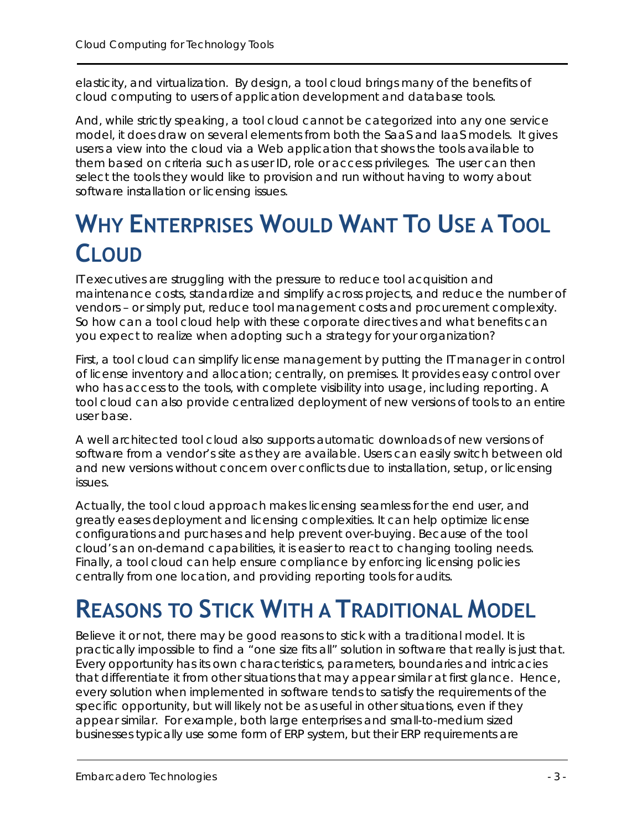elasticity, and virtualization. By design, a tool cloud brings many of the benefits of cloud computing to users of application development and database tools.

And, while strictly speaking, a tool cloud cannot be categorized into any one service model, it does draw on several elements from both the SaaS and IaaS models. It gives users a view into the cloud via a Web application that shows the tools available to them based on criteria such as user ID, role or access privileges. The user can then select the tools they would like to provision and run without having to worry about software installation or licensing issues.

### **WHY ENTERPRISES WOULD WANT TO USE A TOOL CLOUD**

IT executives are struggling with the pressure to reduce tool acquisition and maintenance costs, standardize and simplify across projects, and reduce the number of vendors – or simply put, reduce tool management costs and procurement complexity. So how can a tool cloud help with these corporate directives and what benefits can you expect to realize when adopting such a strategy for your organization?

First, a tool cloud can simplify license management by putting the IT manager in control of license inventory and allocation; centrally, on premises. It provides easy control over who has access to the tools, with complete visibility into usage, including reporting. A tool cloud can also provide centralized deployment of new versions of tools to an entire user base.

A well architected tool cloud also supports automatic downloads of new versions of software from a vendor's site as they are available. Users can easily switch between old and new versions without concern over conflicts due to installation, setup, or licensing issues.

Actually, the tool cloud approach makes licensing seamless for the end user, and greatly eases deployment and licensing complexities. It can help optimize license configurations and purchases and help prevent over-buying. Because of the tool cloud's an on-demand capabilities, it is easier to react to changing tooling needs. Finally, a tool cloud can help ensure compliance by enforcing licensing policies centrally from one location, and providing reporting tools for audits.

## **REASONS TO STICK WITH A TRADITIONAL MODEL**

Believe it or not, there may be good reasons to stick with a traditional model. It is practically impossible to find a "one size fits all" solution in software that really is just that. Every opportunity has its own characteristics, parameters, boundaries and intricacies that differentiate it from other situations that may appear similar at first glance. Hence, every solution when implemented in software tends to satisfy the requirements of the specific opportunity, but will likely not be as useful in other situations, even if they appear similar. For example, both large enterprises and small-to-medium sized businesses typically use some form of ERP system, but their ERP requirements are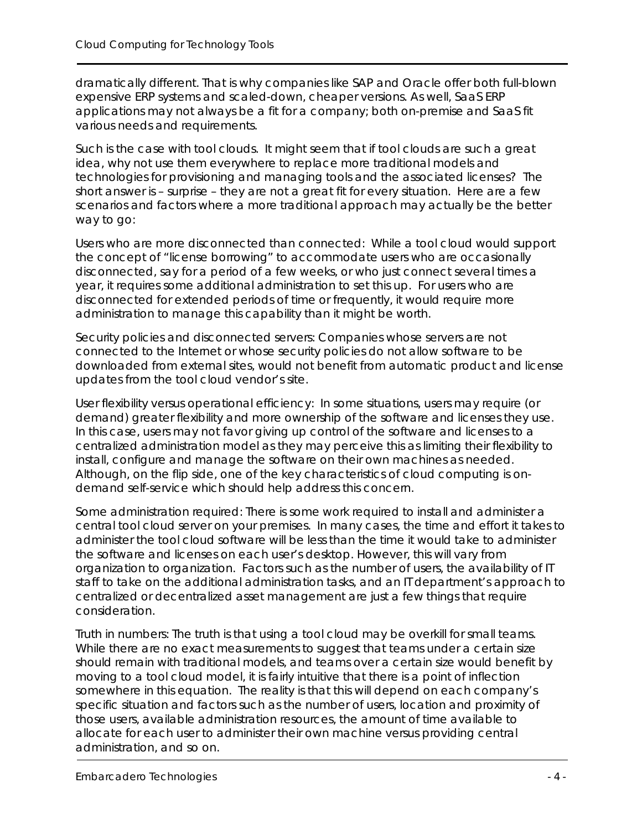dramatically different. That is why companies like SAP and Oracle offer both full-blown expensive ERP systems and scaled-down, cheaper versions. As well, SaaS ERP applications may not always be a fit for a company; both on-premise and SaaS fit various needs and requirements.

Such is the case with tool clouds. It might seem that if tool clouds are such a great idea, why not use them everywhere to replace more traditional models and technologies for provisioning and managing tools and the associated licenses? The short answer is – surprise – they are not a great fit for every situation. Here are a few scenarios and factors where a more traditional approach may actually be the better way to go:

Users who are more disconnected than connected: While a tool cloud would support the concept of "license borrowing" to accommodate users who are occasionally disconnected, say for a period of a few weeks, or who just connect several times a year, it requires some additional administration to set this up. For users who are disconnected for extended periods of time or frequently, it would require more administration to manage this capability than it might be worth.

Security policies and disconnected servers: Companies whose servers are not connected to the Internet or whose security policies do not allow software to be downloaded from external sites, would not benefit from automatic product and license updates from the tool cloud vendor's site.

User flexibility versus operational efficiency: In some situations, users may require (or demand) greater flexibility and more ownership of the software and licenses they use. In this case, users may not favor giving up control of the software and licenses to a centralized administration model as they may perceive this as limiting their flexibility to install, configure and manage the software on their own machines as needed. Although, on the flip side, one of the key characteristics of cloud computing is ondemand self-service which should help address this concern.

Some administration required: There is some work required to install and administer a central tool cloud server on your premises. In many cases, the time and effort it takes to administer the tool cloud software will be less than the time it would take to administer the software and licenses on each user's desktop. However, this will vary from organization to organization. Factors such as the number of users, the availability of IT staff to take on the additional administration tasks, and an IT department's approach to centralized or decentralized asset management are just a few things that require consideration.

Truth in numbers: The truth is that using a tool cloud may be overkill for small teams. While there are no exact measurements to suggest that teams under a certain size should remain with traditional models, and teams over a certain size would benefit by moving to a tool cloud model, it is fairly intuitive that there is a point of inflection somewhere in this equation. The reality is that this will depend on each company's specific situation and factors such as the number of users, location and proximity of those users, available administration resources, the amount of time available to allocate for each user to administer their own machine versus providing central administration, and so on.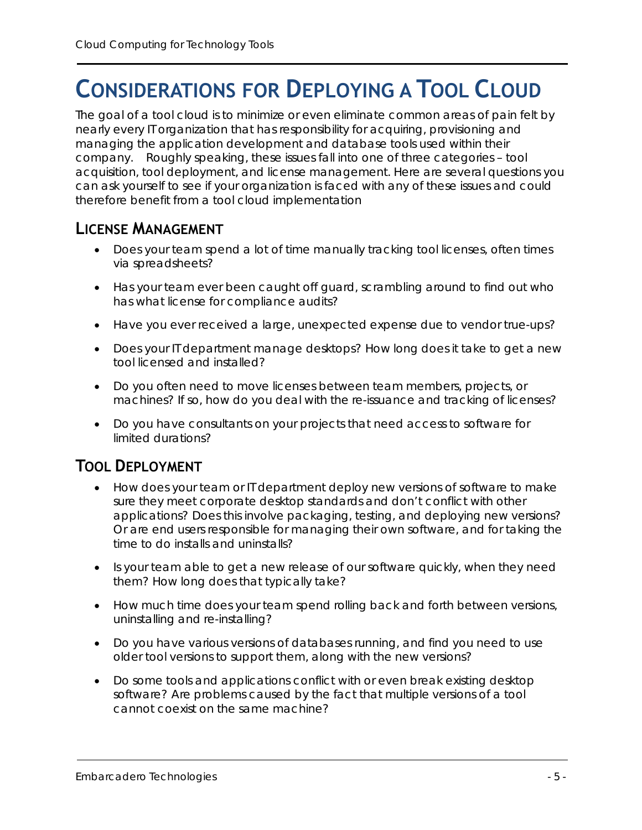### **CONSIDERATIONS FOR DEPLOYING A TOOL CLOUD**

The goal of a tool cloud is to minimize or even eliminate common areas of pain felt by nearly every IT organization that has responsibility for acquiring, provisioning and managing the application development and database tools used within their company. Roughly speaking, these issues fall into one of three categories – tool acquisition, tool deployment, and license management. Here are several questions you can ask yourself to see if your organization is faced with any of these issues and could therefore benefit from a tool cloud implementation

#### **LICENSE MANAGEMENT**

- Does your team spend a lot of time manually tracking tool licenses, often times via spreadsheets?
- Has your team ever been caught off guard, scrambling around to find out who has what license for compliance audits?
- Have you ever received a large, unexpected expense due to vendor true-ups?
- Does your IT department manage desktops? How long does it take to get a new tool licensed and installed?
- Do you often need to move licenses between team members, projects, or machines? If so, how do you deal with the re-issuance and tracking of licenses?
- Do you have consultants on your projects that need access to software for limited durations?

### **TOOL DEPLOYMENT**

- How does your team or IT department deploy new versions of software to make sure they meet corporate desktop standards and don't conflict with other applications? Does this involve packaging, testing, and deploying new versions? Or are end users responsible for managing their own software, and for taking the time to do installs and uninstalls?
- Is your team able to get a new release of our software quickly, when they need them? How long does that typically take?
- How much time does your team spend rolling back and forth between versions, uninstalling and re-installing?
- Do you have various versions of databases running, and find you need to use older tool versions to support them, along with the new versions?
- Do some tools and applications conflict with or even break existing desktop software? Are problems caused by the fact that multiple versions of a tool cannot coexist on the same machine?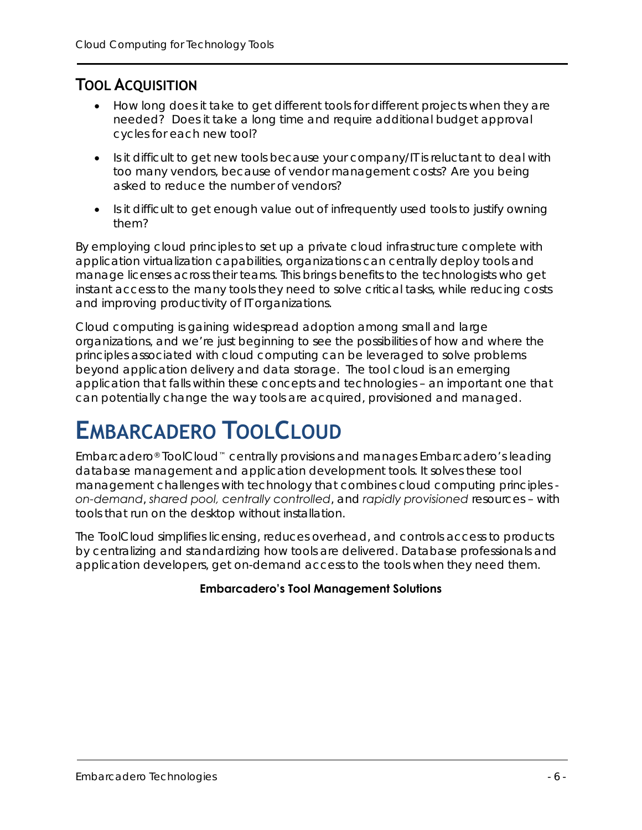### **TOOL ACQUISITION**

- How long does it take to get different tools for different projects when they are needed? Does it take a long time and require additional budget approval cycles for each new tool?
- Is it difficult to get new tools because your company/IT is reluctant to deal with too many vendors, because of vendor management costs? Are you being asked to reduce the number of vendors?
- Is it difficult to get enough value out of infrequently used tools to justify owning them?

By employing cloud principles to set up a private cloud infrastructure complete with application virtualization capabilities, organizations can centrally deploy tools and manage licenses across their teams. This brings benefits to the technologists who get instant access to the many tools they need to solve critical tasks, while reducing costs and improving productivity of IT organizations.

Cloud computing is gaining widespread adoption among small and large organizations, and we're just beginning to see the possibilities of how and where the principles associated with cloud computing can be leveraged to solve problems beyond application delivery and data storage. The tool cloud is an emerging application that falls within these concepts and technologies – an important one that can potentially change the way tools are acquired, provisioned and managed.

### **EMBARCADERO TOOLCLOUD**

Embarcadero® ToolCloud™ centrally provisions and manages Embarcadero's leading database management and application development tools. It solves these tool management challenges with technology that combines cloud computing principles *on-demand*, *shared pool, centrally controlled*, and *rapidly provisioned* resources – with tools that run on the desktop without installation.

The ToolCloud simplifies licensing, reduces overhead, and controls access to products by centralizing and standardizing how tools are delivered. Database professionals and application developers, get on-demand access to the tools when they need them.

#### **Embarcadero's Tool Management Solutions**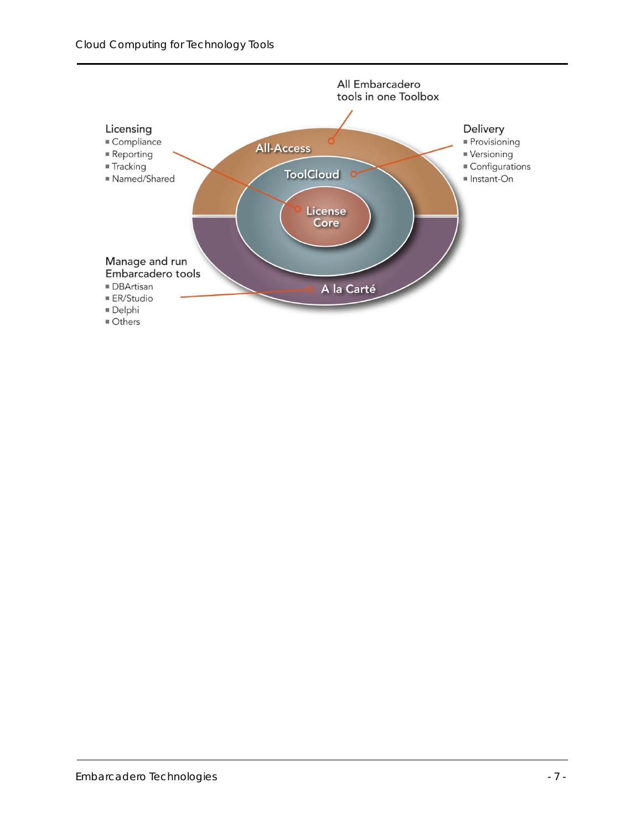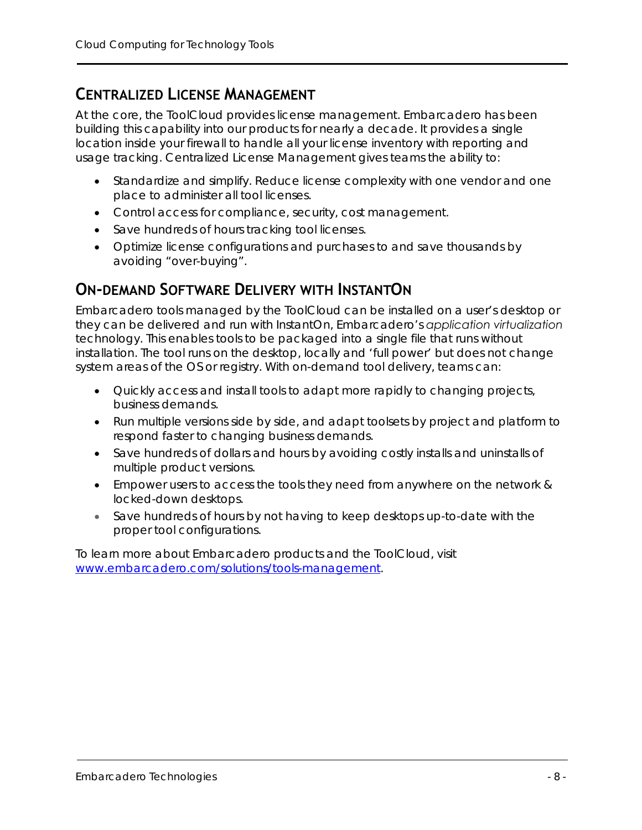#### **CENTRALIZED LICENSE MANAGEMENT**

At the core, the ToolCloud provides license management. Embarcadero has been building this capability into our products for nearly a decade. It provides a single location inside your firewall to handle all your license inventory with reporting and usage tracking. Centralized License Management gives teams the ability to:

- Standardize and simplify. Reduce license complexity with one vendor and one place to administer all tool licenses.
- Control access for compliance, security, cost management.
- Save hundreds of hours tracking tool licenses.
- Optimize license configurations and purchases to and save thousands by avoiding "over-buying".

#### **ON-DEMAND SOFTWARE DELIVERY WITH INSTANTON**

Embarcadero tools managed by the ToolCloud can be installed on a user's desktop or they can be delivered and run with InstantOn, Embarcadero's *application virtualization* technology. This enables tools to be packaged into a single file that runs without installation. The tool runs on the desktop, locally and 'full power' but does not change system areas of the OS or registry. With on-demand tool delivery, teams can:

- Quickly access and install tools to adapt more rapidly to changing projects, business demands.
- Run multiple versions side by side, and adapt toolsets by project and platform to respond faster to changing business demands.
- Save hundreds of dollars and hours by avoiding costly installs and uninstalls of multiple product versions.
- Empower users to access the tools they need from anywhere on the network & locked-down desktops.
- Save hundreds of hours by not having to keep desktops up-to-date with the proper tool configurations.

To learn more about Embarcadero products and the ToolCloud, visit [www.embarcadero.com/solutions/tools-management.](http://www.embarcadero.com/solutions/tools-management)